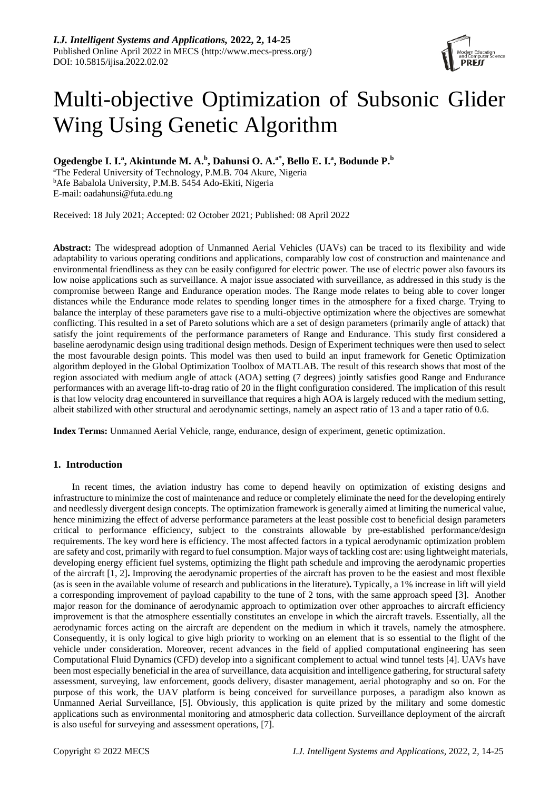

# Multi-objective Optimization of Subsonic Glider Wing Using Genetic Algorithm

**Ogedengbe I. I.<sup>a</sup> , Akintunde M. A.<sup>b</sup> , Dahunsi O. A.a\*, Bello E. I.<sup>a</sup> , Bodunde P.<sup>b</sup>**

<sup>a</sup>The Federal University of Technology, P.M.B. 704 Akure, Nigeria <sup>b</sup>Afe Babalola University, P.M.B. 5454 Ado-Ekiti, Nigeria E-mail: [oadahunsi@futa.edu.ng](mailto:oadahunsi@futa.edu.ng)

Received: 18 July 2021; Accepted: 02 October 2021; Published: 08 April 2022

**Abstract:** The widespread adoption of Unmanned Aerial Vehicles (UAVs) can be traced to its flexibility and wide adaptability to various operating conditions and applications, comparably low cost of construction and maintenance and environmental friendliness as they can be easily configured for electric power. The use of electric power also favours its low noise applications such as surveillance. A major issue associated with surveillance, as addressed in this study is the compromise between Range and Endurance operation modes. The Range mode relates to being able to cover longer distances while the Endurance mode relates to spending longer times in the atmosphere for a fixed charge. Trying to balance the interplay of these parameters gave rise to a multi-objective optimization where the objectives are somewhat conflicting. This resulted in a set of Pareto solutions which are a set of design parameters (primarily angle of attack) that satisfy the joint requirements of the performance parameters of Range and Endurance. This study first considered a baseline aerodynamic design using traditional design methods. Design of Experiment techniques were then used to select the most favourable design points. This model was then used to build an input framework for Genetic Optimization algorithm deployed in the Global Optimization Toolbox of MATLAB. The result of this research shows that most of the region associated with medium angle of attack (AOA) setting (7 degrees) jointly satisfies good Range and Endurance performances with an average lift-to-drag ratio of 20 in the flight configuration considered. The implication of this result is that low velocity drag encountered in surveillance that requires a high AOA is largely reduced with the medium setting, albeit stabilized with other structural and aerodynamic settings, namely an aspect ratio of 13 and a taper ratio of 0.6.

**Index Terms:** Unmanned Aerial Vehicle, range, endurance, design of experiment, genetic optimization.

## **1. Introduction**

In recent times, the aviation industry has come to depend heavily on optimization of existing designs and infrastructure to minimize the cost of maintenance and reduce or completely eliminate the need for the developing entirely and needlessly divergent design concepts. The optimization framework is generally aimed at limiting the numerical value, hence minimizing the effect of adverse performance parameters at the least possible cost to beneficial design parameters critical to performance efficiency, subject to the constraints allowable by pre-established performance/design requirements. The key word here is efficiency. The most affected factors in a typical aerodynamic optimization problem are safety and cost, primarily with regard to fuel consumption. Major ways of tackling cost are: using lightweight materials, developing energy efficient fuel systems, optimizing the flight path schedule and improving the aerodynamic properties of the aircraft [1, 2]**.** Improving the aerodynamic properties of the aircraft has proven to be the easiest and most flexible (as is seen in the available volume of research and publications in the literature)**.** Typically, a 1% increase in lift will yield a corresponding improvement of payload capability to the tune of 2 tons, with the same approach speed [3]. Another major reason for the dominance of aerodynamic approach to optimization over other approaches to aircraft efficiency improvement is that the atmosphere essentially constitutes an envelope in which the aircraft travels. Essentially, all the aerodynamic forces acting on the aircraft are dependent on the medium in which it travels, namely the atmosphere. Consequently, it is only logical to give high priority to working on an element that is so essential to the flight of the vehicle under consideration. Moreover, recent advances in the field of applied computational engineering has seen Computational Fluid Dynamics (CFD) develop into a significant complement to actual wind tunnel tests [4]. UAVs have been most especially beneficial in the area of surveillance, data acquisition and intelligence gathering, for structural safety assessment, surveying, law enforcement, goods delivery, disaster management, aerial photography and so on. For the purpose of this work, the UAV platform is being conceived for surveillance purposes, a paradigm also known as Unmanned Aerial Surveillance, [5]. Obviously, this application is quite prized by the military and some domestic applications such as environmental monitoring and atmospheric data collection. Surveillance deployment of the aircraft is also useful for surveying and assessment operations, [7].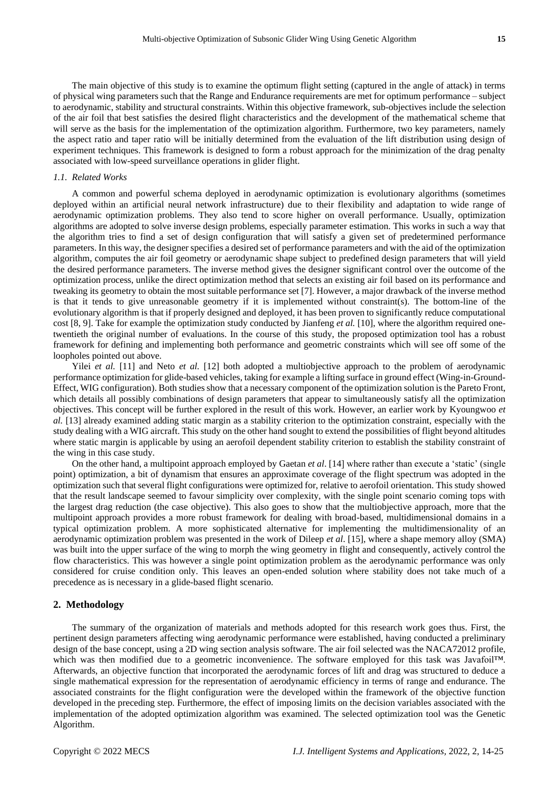The main objective of this study is to examine the optimum flight setting (captured in the angle of attack) in terms of physical wing parameters such that the Range and Endurance requirements are met for optimum performance – subject to aerodynamic, stability and structural constraints. Within this objective framework, sub-objectives include the selection of the air foil that best satisfies the desired flight characteristics and the development of the mathematical scheme that will serve as the basis for the implementation of the optimization algorithm. Furthermore, two key parameters, namely the aspect ratio and taper ratio will be initially determined from the evaluation of the lift distribution using design of experiment techniques. This framework is designed to form a robust approach for the minimization of the drag penalty associated with low-speed surveillance operations in glider flight.

## *1.1. Related Works*

A common and powerful schema deployed in aerodynamic optimization is evolutionary algorithms (sometimes deployed within an artificial neural network infrastructure) due to their flexibility and adaptation to wide range of aerodynamic optimization problems. They also tend to score higher on overall performance. Usually, optimization algorithms are adopted to solve inverse design problems, especially parameter estimation. This works in such a way that the algorithm tries to find a set of design configuration that will satisfy a given set of predetermined performance parameters. In this way, the designer specifies a desired set of performance parameters and with the aid of the optimization algorithm, computes the air foil geometry or aerodynamic shape subject to predefined design parameters that will yield the desired performance parameters. The inverse method gives the designer significant control over the outcome of the optimization process, unlike the direct optimization method that selects an existing air foil based on its performance and tweaking its geometry to obtain the most suitable performance set [7]. However, a major drawback of the inverse method is that it tends to give unreasonable geometry if it is implemented without constraint(s). The bottom-line of the evolutionary algorithm is that if properly designed and deployed, it has been proven to significantly reduce computational cost [8, 9]. Take for example the optimization study conducted by Jianfeng *et al.* [10], where the algorithm required onetwentieth the original number of evaluations. In the course of this study, the proposed optimization tool has a robust framework for defining and implementing both performance and geometric constraints which will see off some of the loopholes pointed out above.

Yilei *et al.* [11] and Neto *et al.* [12] both adopted a multiobjective approach to the problem of aerodynamic performance optimization for glide-based vehicles, taking for example a lifting surface in ground effect (Wing-in-Ground-Effect, WIG configuration). Both studies show that a necessary component of the optimization solution is the Pareto Front, which details all possibly combinations of design parameters that appear to simultaneously satisfy all the optimization objectives. This concept will be further explored in the result of this work. However, an earlier work by Kyoungwoo *et al.* [13] already examined adding static margin as a stability criterion to the optimization constraint, especially with the study dealing with a WIG aircraft. This study on the other hand sought to extend the possibilities of flight beyond altitudes where static margin is applicable by using an aerofoil dependent stability criterion to establish the stability constraint of the wing in this case study.

On the other hand, a multipoint approach employed by Gaetan *et al*. [14] where rather than execute a 'static' (single point) optimization, a bit of dynamism that ensures an approximate coverage of the flight spectrum was adopted in the optimization such that several flight configurations were optimized for, relative to aerofoil orientation. This study showed that the result landscape seemed to favour simplicity over complexity, with the single point scenario coming tops with the largest drag reduction (the case objective). This also goes to show that the multiobjective approach, more that the multipoint approach provides a more robust framework for dealing with broad-based, multidimensional domains in a typical optimization problem. A more sophisticated alternative for implementing the multidimensionality of an aerodynamic optimization problem was presented in the work of Dileep *et al*. [15], where a shape memory alloy (SMA) was built into the upper surface of the wing to morph the wing geometry in flight and consequently, actively control the flow characteristics. This was however a single point optimization problem as the aerodynamic performance was only considered for cruise condition only. This leaves an open-ended solution where stability does not take much of a precedence as is necessary in a glide-based flight scenario.

#### **2. Methodology**

The summary of the organization of materials and methods adopted for this research work goes thus. First, the pertinent design parameters affecting wing aerodynamic performance were established, having conducted a preliminary design of the base concept, using a 2D wing section analysis software. The air foil selected was the NACA72012 profile, which was then modified due to a geometric inconvenience. The software employed for this task was Javafoil™. Afterwards, an objective function that incorporated the aerodynamic forces of lift and drag was structured to deduce a single mathematical expression for the representation of aerodynamic efficiency in terms of range and endurance. The associated constraints for the flight configuration were the developed within the framework of the objective function developed in the preceding step. Furthermore, the effect of imposing limits on the decision variables associated with the implementation of the adopted optimization algorithm was examined. The selected optimization tool was the Genetic Algorithm.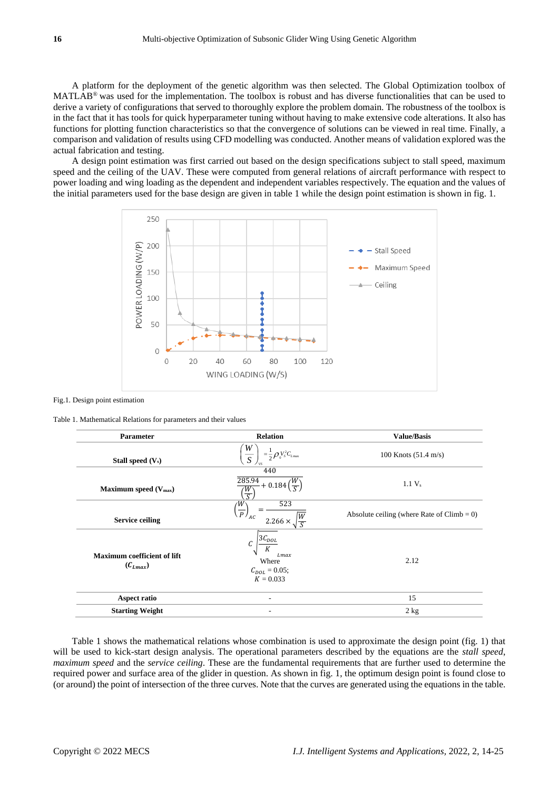A platform for the deployment of the genetic algorithm was then selected. The Global Optimization toolbox of MATLAB® was used for the implementation. The toolbox is robust and has diverse functionalities that can be used to derive a variety of configurations that served to thoroughly explore the problem domain. The robustness of the toolbox is in the fact that it has tools for quick hyperparameter tuning without having to make extensive code alterations. It also has functions for plotting function characteristics so that the convergence of solutions can be viewed in real time. Finally, a comparison and validation of results using CFD modelling was conducted. Another means of validation explored was the actual fabrication and testing.

A design point estimation was first carried out based on the design specifications subject to stall speed, maximum speed and the ceiling of the UAV. These were computed from general relations of aircraft performance with respect to power loading and wing loading as the dependent and independent variables respectively. The equation and the values of the initial parameters used for the base design are given in table 1 while the design point estimation is shown in fig. 1.



Fig.1. Design point estimation

Table 1. Mathematical Relations for parameters and their values

| <b>Parameter</b>                                   | <b>Relation</b>                                                                  | <b>Value/Basis</b>                            |
|----------------------------------------------------|----------------------------------------------------------------------------------|-----------------------------------------------|
| Stall speed $(V_s)$                                | W<br>$=\frac{1}{2}\rho_{0}V_{s}^{2}C_{L_{\text{max}}}$<br>$\overline{S}$<br>' vs | 100 Knots $(51.4 \text{ m/s})$                |
| Maximum speed $(V_{max})$                          | 440<br>285.94<br>$+0.184$<br>۰W<br>$\overline{S}$                                | $1.1 V_s$                                     |
| <b>Service ceiling</b>                             | 523<br>W<br>$\overline{P}$ <sub>AC</sub><br>$\frac{W}{c}$<br>$2.266 \times$      | Absolute ceiling (where Rate of $Climb = 0$ ) |
| <b>Maximum coefficient of lift</b><br>$(C_{Lmax})$ | $3C_{DOL}$<br>Lmax<br>Where<br>$C_{DOL} = 0.05;$<br>$K = 0.033$                  | 2.12                                          |
| Aspect ratio                                       |                                                                                  | 15                                            |
| <b>Starting Weight</b>                             | ۰                                                                                | 2 kg                                          |

Table 1 shows the mathematical relations whose combination is used to approximate the design point (fig. 1) that will be used to kick-start design analysis. The operational parameters described by the equations are the *stall speed*, *maximum speed* and the *service ceiling*. These are the fundamental requirements that are further used to determine the required power and surface area of the glider in question. As shown in fig. 1, the optimum design point is found close to (or around) the point of intersection of the three curves. Note that the curves are generated using the equations in the table.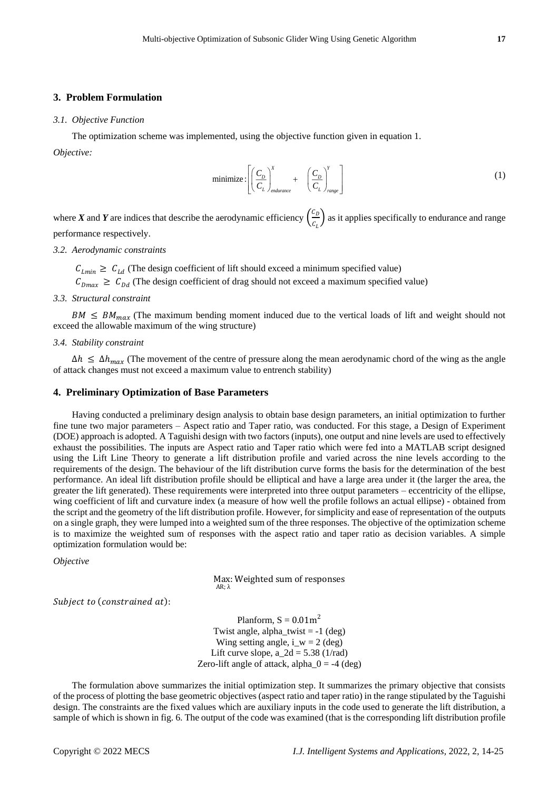## **3. Problem Formulation**

#### *3.1. Objective Function*

The optimization scheme was implemented, using the objective function given in equation 1.

*Objective:*

minimize: 
$$
\left[ \left( \frac{C_D}{C_L} \right)_{endurance}^X + \left( \frac{C_D}{C_L} \right)_{range}^Y \right]
$$
 (1)

where *X* and *Y* are indices that describe the aerodynamic efficiency  $\left(\frac{c_b}{c_a}\right)$  $\left(\frac{c_D}{c_L}\right)$  as it applies specifically to endurance and range performance respectively.

## *3.2. Aerodynamic constraints*

 $C_{Lmin} \geq C_{Ld}$  (The design coefficient of lift should exceed a minimum specified value)

 $C_{Dmax} \ge C_{Dd}$  (The design coefficient of drag should not exceed a maximum specified value)

## *3.3. Structural constraint*

 $BM \leq BM_{max}$  (The maximum bending moment induced due to the vertical loads of lift and weight should not exceed the allowable maximum of the wing structure)

#### *3.4. Stability constraint*

 $\Delta h \leq \Delta h_{max}$  (The movement of the centre of pressure along the mean aerodynamic chord of the wing as the angle of attack changes must not exceed a maximum value to entrench stability)

#### **4. Preliminary Optimization of Base Parameters**

Having conducted a preliminary design analysis to obtain base design parameters, an initial optimization to further fine tune two major parameters – Aspect ratio and Taper ratio, was conducted. For this stage, a Design of Experiment (DOE) approach is adopted. A Taguishi design with two factors (inputs), one output and nine levels are used to effectively exhaust the possibilities. The inputs are Aspect ratio and Taper ratio which were fed into a MATLAB script designed using the Lift Line Theory to generate a lift distribution profile and varied across the nine levels according to the requirements of the design. The behaviour of the lift distribution curve forms the basis for the determination of the best performance. An ideal lift distribution profile should be elliptical and have a large area under it (the larger the area, the greater the lift generated). These requirements were interpreted into three output parameters – eccentricity of the ellipse, wing coefficient of lift and curvature index (a measure of how well the profile follows an actual ellipse) - obtained from the script and the geometry of the lift distribution profile. However, for simplicity and ease of representation of the outputs on a single graph, they were lumped into a weighted sum of the three responses. The objective of the optimization scheme is to maximize the weighted sum of responses with the aspect ratio and taper ratio as decision variables. A simple optimization formulation would be:

*Objective*

Max: Weighted sum of responses AR; λ

Subject to (constrained at):

Planform,  $S = 0.01m^2$ Twist angle, alpha\_twist  $= -1$  (deg) Wing setting angle, i\_w = 2 (deg) Lift curve slope, a  $2d = 5.38$  (1/rad) Zero-lift angle of attack, alpha  $0 = -4$  (deg)

The formulation above summarizes the initial optimization step. It summarizes the primary objective that consists of the process of plotting the base geometric objectives (aspect ratio and taper ratio) in the range stipulated by the Taguishi design. The constraints are the fixed values which are auxiliary inputs in the code used to generate the lift distribution, a sample of which is shown in fig. 6. The output of the code was examined (that is the corresponding lift distribution profile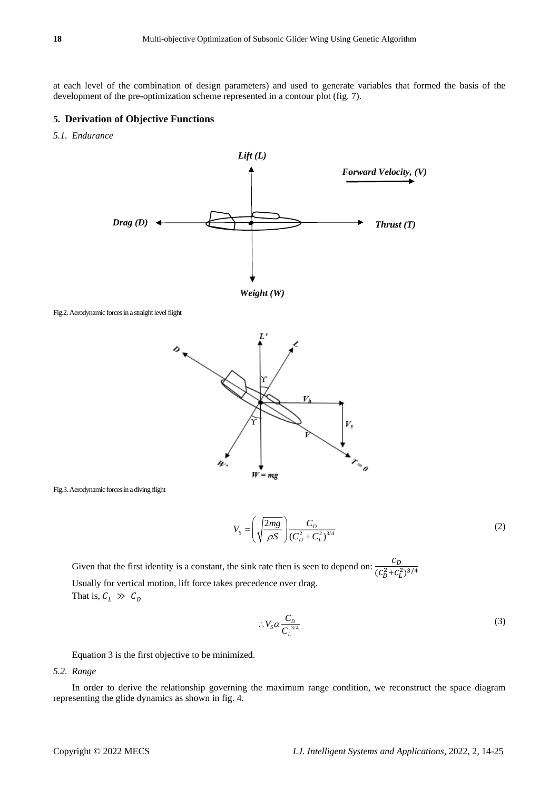at each level of the combination of design parameters) and used to generate variables that formed the basis of the development of the pre**-**optimization scheme represented in a contour plot (fig. 7).

# **5. Derivation of Objective Functions**

*5.1. Endurance*





 $W = mg$ 

Fig.3.Aerodynamic forces in a diving flight

$$
V_s = \left(\sqrt{\frac{2mg}{\rho S}}\right) \frac{C_D}{(C_D^2 + C_L^2)^{3/4}}
$$
 (2)

Given that the first identity is a constant, the sink rate then is seen to depend on:  $\frac{c_D}{\sqrt{2}}$  $(c_D^2 + c_L^2)^{3/4}$ Usually for vertical motion, lift force takes precedence over drag. That is,  $C_L \gg C_D$ 

$$
\therefore V_s \alpha \frac{C_D}{C_L^{3/4}} \tag{3}
$$

Equation 3 is the first objective to be minimized.

## *5.2. Range*

In order to derive the relationship governing the maximum range condition, we reconstruct the space diagram representing the glide dynamics as shown in fig. 4.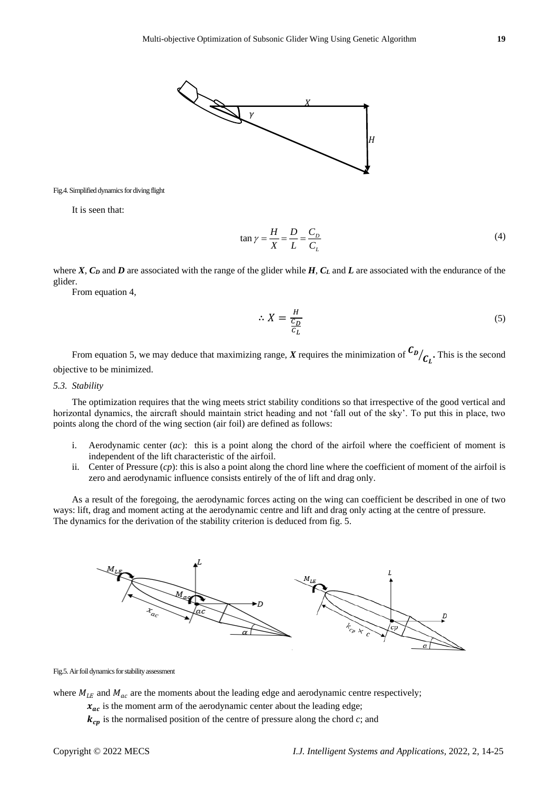

Fig.4. Simplified dynamics for diving flight

It is seen that:

$$
\tan \gamma = \frac{H}{X} = \frac{D}{L} = \frac{C_D}{C_L} \tag{4}
$$

where *X*, *C<sup>D</sup>* and *D* are associated with the range of the glider while *H*, *C<sup>L</sup>* and *L* are associated with the endurance of the glider.

From equation 4,

$$
\therefore X = \frac{H}{\frac{C_D}{C_L}}\tag{5}
$$

From equation 5, we may deduce that maximizing range, *X* requires the minimization of  $\frac{C_{D}}{C_L}$ . This is the second objective to be minimized.

## *5.3. Stability*

The optimization requires that the wing meets strict stability conditions so that irrespective of the good vertical and horizontal dynamics, the aircraft should maintain strict heading and not 'fall out of the sky'. To put this in place, two points along the chord of the wing section (air foil) are defined as follows:

- i. Aerodynamic center (*ac*): this is a point along the chord of the airfoil where the coefficient of moment is independent of the lift characteristic of the airfoil.
- ii. Center of Pressure (*cp*): this is also a point along the chord line where the coefficient of moment of the airfoil is zero and aerodynamic influence consists entirely of the of lift and drag only.

As a result of the foregoing, the aerodynamic forces acting on the wing can coefficient be described in one of two ways: lift, drag and moment acting at the aerodynamic centre and lift and drag only acting at the centre of pressure. The dynamics for the derivation of the stability criterion is deduced from fig. 5.



Fig.5. Air foil dynamics for stability assessment

where  $M_{LE}$  and  $M_{ac}$  are the moments about the leading edge and aerodynamic centre respectively;

 $x_{ac}$  is the moment arm of the aerodynamic center about the leading edge;

 $k_{cp}$  is the normalised position of the centre of pressure along the chord *c*; and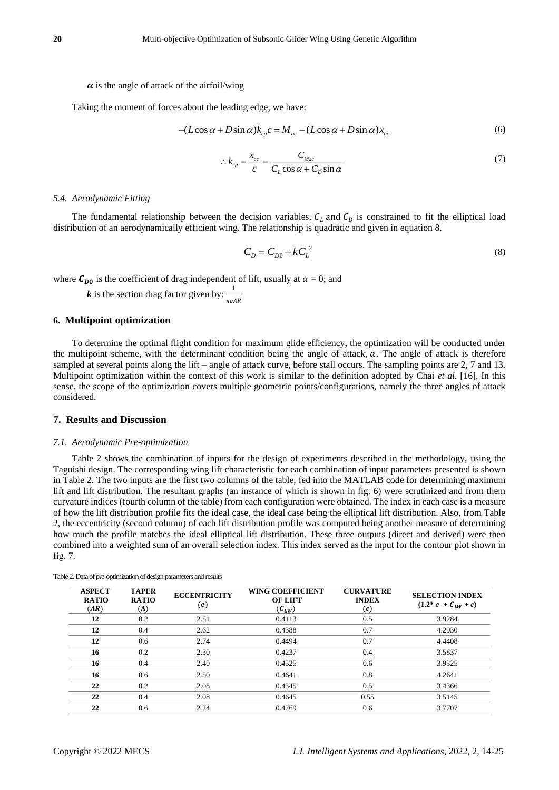#### $\alpha$  is the angle of attack of the airfoil/wing

Taking the moment of forces about the leading edge, we have:

$$
-(L\cos\alpha + D\sin\alpha)k_{cp}c = M_{ac} - (L\cos\alpha + D\sin\alpha)x_{ac}
$$
(6)

$$
\therefore k_{cp} = \frac{x_{ac}}{c} = \frac{C_{Mac}}{C_L \cos \alpha + C_D \sin \alpha}
$$
(7)

#### *5.4. Aerodynamic Fitting*

The fundamental relationship between the decision variables,  $C_L$  and  $C_D$  is constrained to fit the elliptical load distribution of an aerodynamically efficient wing. The relationship is quadratic and given in equation 8.

$$
C_D = C_{D0} + kC_L^2 \tag{8}
$$

where  $C_{D0}$  is the coefficient of drag independent of lift, usually at  $\alpha = 0$ ; and

 $k$  is the section drag factor given by:  $\frac{1}{1}$  $\pi eAR$ 

## **6. Multipoint optimization**

To determine the optimal flight condition for maximum glide efficiency, the optimization will be conducted under the multipoint scheme, with the determinant condition being the angle of attack,  $\alpha$ . The angle of attack is therefore sampled at several points along the lift – angle of attack curve, before stall occurs. The sampling points are 2, 7 and 13. Multipoint optimization within the context of this work is similar to the definition adopted by Chai *et al.* [16]. In this sense, the scope of the optimization covers multiple geometric points/configurations, namely the three angles of attack considered.

## **7. Results and Discussion**

#### *7.1. Aerodynamic Pre-optimization*

Table 2 shows the combination of inputs for the design of experiments described in the methodology, using the Taguishi design. The corresponding wing lift characteristic for each combination of input parameters presented is shown in Table 2. The two inputs are the first two columns of the table, fed into the MATLAB code for determining maximum lift and lift distribution. The resultant graphs (an instance of which is shown in fig. 6) were scrutinized and from them curvature indices (fourth column of the table) from each configuration were obtained. The index in each case is a measure of how the lift distribution profile fits the ideal case, the ideal case being the elliptical lift distribution. Also, from Table 2, the eccentricity (second column) of each lift distribution profile was computed being another measure of determining how much the profile matches the ideal elliptical lift distribution. These three outputs (direct and derived) were then combined into a weighted sum of an overall selection index. This index served as the input for the contour plot shown in fig. 7.

| <b>ASPECT</b><br><b>RATIO</b><br>(AR) | <b>TAPER</b><br><b>RATIO</b><br>$(\Lambda)$ | <b>ECCENTRICITY</b><br>$\left(\boldsymbol{e}\right)$ | <b>WING COEFFICIENT</b><br><b>OF LIFT</b><br>$(\mathcal{C}_{LW})$ | <b>CURVATURE</b><br><b>INDEX</b><br>$(\pmb{c})$ | <b>SELECTION INDEX</b><br>$(1.2^* e + C_{LW} + c)$ |
|---------------------------------------|---------------------------------------------|------------------------------------------------------|-------------------------------------------------------------------|-------------------------------------------------|----------------------------------------------------|
| 12                                    | 0.2                                         | 2.51                                                 | 0.4113                                                            | 0.5                                             | 3.9284                                             |
| 12                                    | 0.4                                         | 2.62                                                 | 0.4388                                                            | 0.7                                             | 4.2930                                             |
| 12                                    | 0.6                                         | 2.74                                                 | 0.4494                                                            | 0.7                                             | 4.4408                                             |
| 16                                    | 0.2                                         | 2.30                                                 | 0.4237                                                            | 0.4                                             | 3.5837                                             |
| 16                                    | 0.4                                         | 2.40                                                 | 0.4525                                                            | 0.6                                             | 3.9325                                             |
| 16                                    | 0.6                                         | 2.50                                                 | 0.4641                                                            | 0.8                                             | 4.2641                                             |
| 22                                    | 0.2                                         | 2.08                                                 | 0.4345                                                            | 0.5                                             | 3.4366                                             |
| 22                                    | 0.4                                         | 2.08                                                 | 0.4645                                                            | 0.55                                            | 3.5145                                             |
| 22                                    | 0.6                                         | 2.24                                                 | 0.4769                                                            | 0.6                                             | 3.7707                                             |

Table 2.Data of pre-optimization of design parameters and results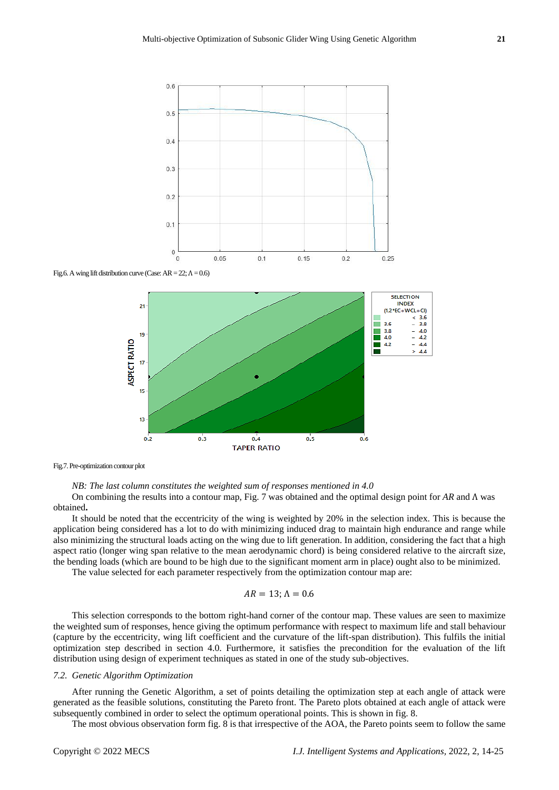

Fig.7. Pre-optimization contour plot

*NB: The last column constitutes the weighted sum of responses mentioned in 4.0*

On combining the results into a contour map, Fig. 7 was obtained and the optimal design point for *AR* and Λ was obtained**.**

It should be noted that the eccentricity of the wing is weighted by 20% in the selection index. This is because the application being considered has a lot to do with minimizing induced drag to maintain high endurance and range while also minimizing the structural loads acting on the wing due to lift generation. In addition, considering the fact that a high aspect ratio (longer wing span relative to the mean aerodynamic chord) is being considered relative to the aircraft size, the bending loads (which are bound to be high due to the significant moment arm in place) ought also to be minimized.

The value selected for each parameter respectively from the optimization contour map are:

$$
AR = 13; \Lambda = 0.6
$$

This selection corresponds to the bottom right-hand corner of the contour map. These values are seen to maximize the weighted sum of responses, hence giving the optimum performance with respect to maximum life and stall behaviour (capture by the eccentricity, wing lift coefficient and the curvature of the lift-span distribution). This fulfils the initial optimization step described in section 4.0. Furthermore, it satisfies the precondition for the evaluation of the lift distribution using design of experiment techniques as stated in one of the study sub-objectives.

## *7.2. Genetic Algorithm Optimization*

After running the Genetic Algorithm, a set of points detailing the optimization step at each angle of attack were generated as the feasible solutions, constituting the Pareto front. The Pareto plots obtained at each angle of attack were subsequently combined in order to select the optimum operational points. This is shown in fig. 8.

The most obvious observation form fig. 8 is that irrespective of the AOA, the Pareto points seem to follow the same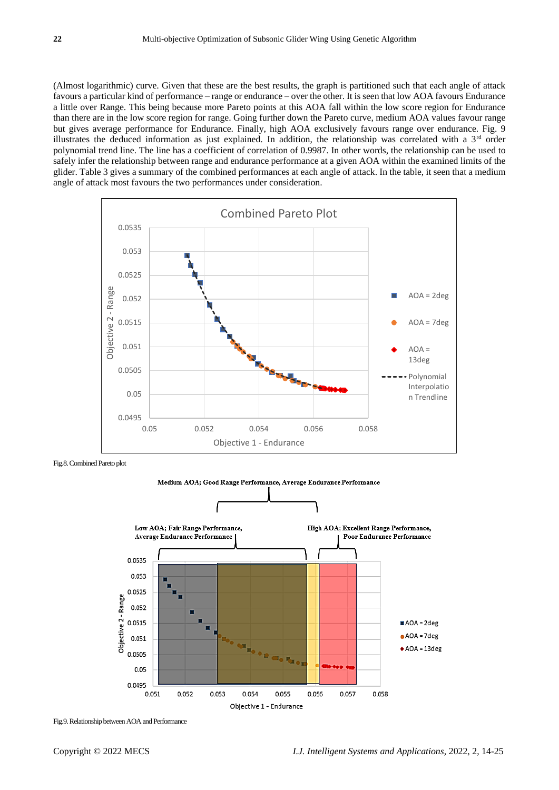(Almost logarithmic) curve. Given that these are the best results, the graph is partitioned such that each angle of attack favours a particular kind of performance – range or endurance – over the other. It is seen that low AOA favours Endurance a little over Range. This being because more Pareto points at this AOA fall within the low score region for Endurance than there are in the low score region for range. Going further down the Pareto curve, medium AOA values favour range but gives average performance for Endurance. Finally, high AOA exclusively favours range over endurance. Fig. 9 illustrates the deduced information as just explained. In addition, the relationship was correlated with a  $3<sup>rd</sup>$  order polynomial trend line. The line has a coefficient of correlation of 0.9987. In other words, the relationship can be used to safely infer the relationship between range and endurance performance at a given AOA within the examined limits of the glider. Table 3 gives a summary of the combined performances at each angle of attack. In the table, it seen that a medium angle of attack most favours the two performances under consideration.



Fig.8. Combined Pareto plot



Fig.9. Relationship between AOA and Performance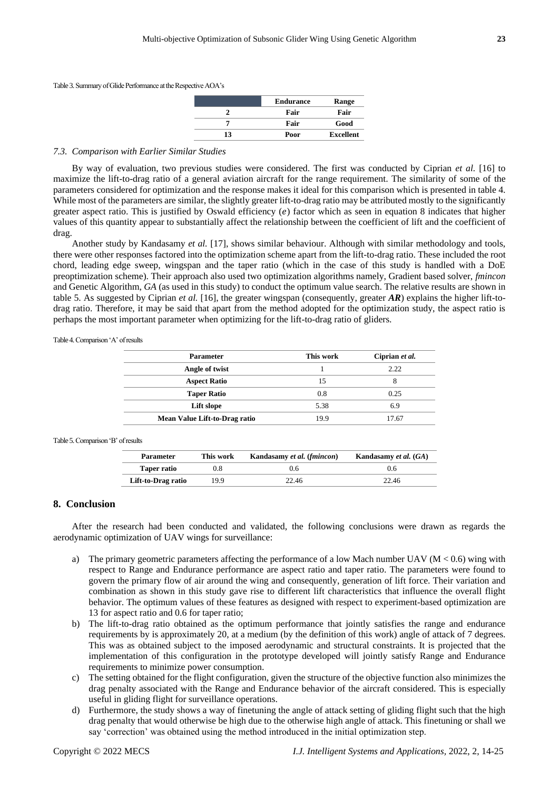Table 3.Summary of Glide Performance at the Respective AOA's

|    | <b>Endurance</b> | Range            |
|----|------------------|------------------|
|    | Fair             | Fair             |
|    | Fair             | Good             |
| 13 | Poor             | <b>Excellent</b> |

## *7.3. Comparison with Earlier Similar Studies*

By way of evaluation, two previous studies were considered. The first was conducted by Ciprian *et al.* [16] to maximize the lift-to-drag ratio of a general aviation aircraft for the range requirement. The similarity of some of the parameters considered for optimization and the response makes it ideal for this comparison which is presented in table 4. While most of the parameters are similar, the slightly greater lift-to-drag ratio may be attributed mostly to the significantly greater aspect ratio. This is justified by Oswald efficiency  $(e)$  factor which as seen in equation 8 indicates that higher values of this quantity appear to substantially affect the relationship between the coefficient of lift and the coefficient of drag.

Another study by Kandasamy *et al.* [17], shows similar behaviour. Although with similar methodology and tools, there were other responses factored into the optimization scheme apart from the lift-to-drag ratio. These included the root chord, leading edge sweep, wingspan and the taper ratio (which in the case of this study is handled with a DoE preoptimization scheme). Their approach also used two optimization algorithms namely, Gradient based solver, *fmincon* and Genetic Algorithm, *GA* (as used in this study) to conduct the optimum value search. The relative results are shown in table 5. As suggested by Ciprian *et al.* [16], the greater wingspan (consequently, greater *AR*) explains the higher lift-todrag ratio. Therefore, it may be said that apart from the method adopted for the optimization study, the aspect ratio is perhaps the most important parameter when optimizing for the lift-to-drag ratio of gliders.

Table 4. Comparison 'A' of results

| This work | Ciprian et al. |
|-----------|----------------|
|           | 2.22           |
| 15        |                |
| 0.8       | 0.25           |
| 5.38      | 6.9            |
| 19.9      | 17.67          |
|           |                |

#### Table 5.Comparison 'B' of results

| <b>Parameter</b>   | This work | Kandasamy et al. (fmincon) | Kandasamy et al. (GA) |
|--------------------|-----------|----------------------------|-----------------------|
| Taper ratio        |           | 0.6                        | 0.6                   |
| Lift-to-Drag ratio | 199       | 22.46                      | 22.46                 |

## **8. Conclusion**

After the research had been conducted and validated, the following conclusions were drawn as regards the aerodynamic optimization of UAV wings for surveillance:

- a) The primary geometric parameters affecting the performance of a low Mach number UAV ( $M < 0.6$ ) wing with respect to Range and Endurance performance are aspect ratio and taper ratio. The parameters were found to govern the primary flow of air around the wing and consequently, generation of lift force. Their variation and combination as shown in this study gave rise to different lift characteristics that influence the overall flight behavior. The optimum values of these features as designed with respect to experiment-based optimization are 13 for aspect ratio and 0.6 for taper ratio;
- b) The lift-to-drag ratio obtained as the optimum performance that jointly satisfies the range and endurance requirements by is approximately 20, at a medium (by the definition of this work) angle of attack of 7 degrees. This was as obtained subject to the imposed aerodynamic and structural constraints. It is projected that the implementation of this configuration in the prototype developed will jointly satisfy Range and Endurance requirements to minimize power consumption.
- c) The setting obtained for the flight configuration, given the structure of the objective function also minimizes the drag penalty associated with the Range and Endurance behavior of the aircraft considered. This is especially useful in gliding flight for surveillance operations.
- d) Furthermore, the study shows a way of finetuning the angle of attack setting of gliding flight such that the high drag penalty that would otherwise be high due to the otherwise high angle of attack. This finetuning or shall we say 'correction' was obtained using the method introduced in the initial optimization step.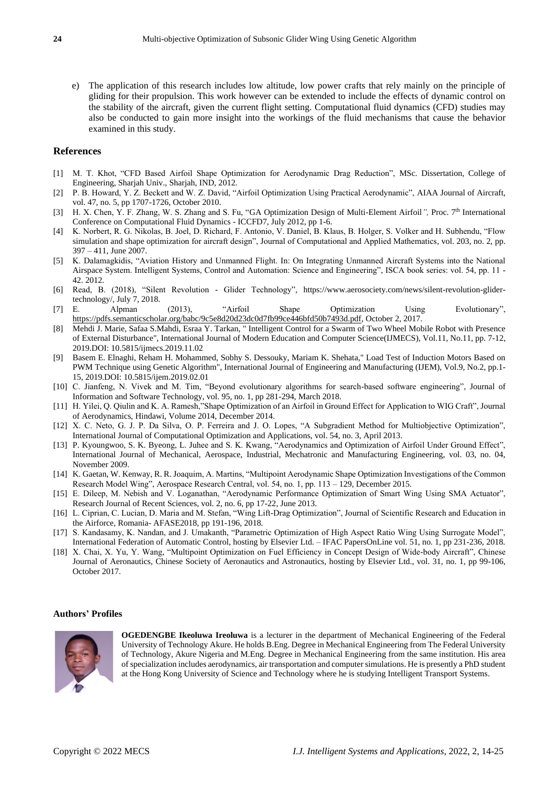e) The application of this research includes low altitude, low power crafts that rely mainly on the principle of gliding for their propulsion. This work however can be extended to include the effects of dynamic control on the stability of the aircraft, given the current flight setting. Computational fluid dynamics (CFD) studies may also be conducted to gain more insight into the workings of the fluid mechanisms that cause the behavior examined in this study.

## **References**

- [1] M. T. Khot, "CFD Based Airfoil Shape Optimization for Aerodynamic Drag Reduction", MSc. Dissertation, College of Engineering, Sharjah Univ., Sharjah, IND, 2012.
- [2] P. B. Howard, Y. Z. Beckett and W. Z. David, "Airfoil Optimization Using Practical Aerodynamic", AIAA Journal of Aircraft, vol. 47, no. 5, pp 1707-1726, October 2010.
- [3] H. X. Chen, Y. F. Zhang, W. S. Zhang and S. Fu, "GA Optimization Design of Multi-Element Airfoil<sup>"</sup>, Proc. 7<sup>th</sup> International Conference on Computational Fluid Dynamics - ICCFD7, July 2012, pp 1-6.
- [4] K. Norbert, R. G. Nikolas, B. Joel, D. Richard, F. Antonio, V. Daniel, B. Klaus, B. Holger, S. Volker and H. Subhendu, "Flow simulation and shape optimization for aircraft design", Journal of Computational and Applied Mathematics*,* vol. 203, no. 2, pp. 397 – 411, June 2007.
- [5] K. Dalamagkidis, "Aviation History and Unmanned Flight. In: On Integrating Unmanned Aircraft Systems into the National Airspace System. Intelligent Systems, Control and Automation: Science and Engineering", ISCA book series: vol. 54, pp. 11 - 42. 2012.
- [6] Read, B. (2018), "Silent Revolution Glider Technology"*,* [https://www.aerosociety.com/news/silent-revolution-glider](https://www.aerosociety.com/news/silent-revolution-glider-technology/)[technology/,](https://www.aerosociety.com/news/silent-revolution-glider-technology/) July 7, 2018.<br>[7] E. Alpman
- [7] E. Alpman (2013), "Airfoil Shape Optimization Using Evolutionary", [https://pdfs.semanticscholar.org/babc/9c5e8d20d23dc0d7fb99ce446bfd50b7493d.pdf,](https://pdfs.semanticscholar.org/babc/9c5e8d20d23dc0d7fb99ce446bfd50b7493d.pdf) October 2, 2017.
- [8] Mehdi J. Marie, Safaa S.Mahdi, Esraa Y. Tarkan, " Intelligent Control for a Swarm of Two Wheel Mobile Robot with Presence of External Disturbance", International Journal of Modern Education and Computer Science(IJMECS), Vol.11, No.11, pp. 7-12, 2019.DOI: 10.5815/ijmecs.2019.11.02
- [9] Basem E. Elnaghi, Reham H. Mohammed, Sobhy S. Dessouky, Mariam K. Shehata," Load Test of Induction Motors Based on PWM Technique using Genetic Algorithm", International Journal of Engineering and Manufacturing (IJEM), Vol.9, No.2, pp.1- 15, 2019.DOI: 10.5815/ijem.2019.02.01
- [10] C. Jianfeng, N. Vivek and M. Tim, "Beyond evolutionary algorithms for search-based software engineering", Journal of Information and Software Technology, vol. 95, no. 1, pp 281-294, March 2018.
- [11] H. Yilei, Q. Qiulin and K. A. Ramesh,"Shape Optimization of an Airfoil in Ground Effect for Application to WIG Craft", Journal of Aerodynamics, Hindawi, Volume 2014, December 2014.
- [12] X. C. Neto, G. J. P. Da Silva, O. P. Ferreira and J. O. Lopes, "A Subgradient Method for Multiobjective Optimization", International Journal of Computational Optimization and Applications, vol. 54, no. 3, April 2013.
- [13] P. Kyoungwoo, S. K. Byeong, L. Juhee and S. K. Kwang, "Aerodynamics and Optimization of Airfoil Under Ground Effect", International Journal of Mechanical, Aerospace, Industrial, Mechatronic and Manufacturing Engineering, vol. 03, no. 04, November 2009.
- [14] K. Gaetan, W. Kenway, R. R. Joaquim, A. Martins, "Multipoint Aerodynamic Shape Optimization Investigations of the Common Research Model Wing", Aerospace Research Central, vol. 54, no. 1, pp. 113 – 129, December 2015.
- [15] E. Dileep, M. Nebish and V. Loganathan, "Aerodynamic Performance Optimization of Smart Wing Using SMA Actuator", Research Journal of Recent Sciences, vol. 2, no. 6, pp 17-22, June 2013.
- [16] L. Ciprian, C. Lucian, D. Maria and M. Stefan, "Wing Lift-Drag Optimization", Journal of Scientific Research and Education in the Airforce, Romania- AFASE2018, pp 191-196, 2018.
- [17] S. Kandasamy, K. Nandan, and J. Umakanth, "Parametric Optimization of High Aspect Ratio Wing Using Surrogate Model", International Federation of Automatic Control, hosting by Elsevier Ltd. – IFAC PapersOnLine vol. 51, no. 1, pp 231-236, 2018.
- [18] X. Chai, X. Yu, Y. Wang, "Multipoint Optimization on Fuel Efficiency in Concept Design of Wide-body Aircraft", Chinese Journal of Aeronautics, Chinese Society of Aeronautics and Astronautics, hosting by Elsevier Ltd., vol. 31, no. 1, pp 99-106, October 2017.

#### **Authors' Profiles**



**OGEDENGBE Ikeoluwa Ireoluwa** is a lecturer in the department of Mechanical Engineering of the Federal University of Technology Akure. He holds B.Eng. Degree in Mechanical Engineering from The Federal University of Technology, Akure Nigeria and M.Eng. Degree in Mechanical Engineering from the same institution. His area of specialization includes aerodynamics, air transportation and computer simulations. He is presently a PhD student at the Hong Kong University of Science and Technology where he is studying Intelligent Transport Systems.